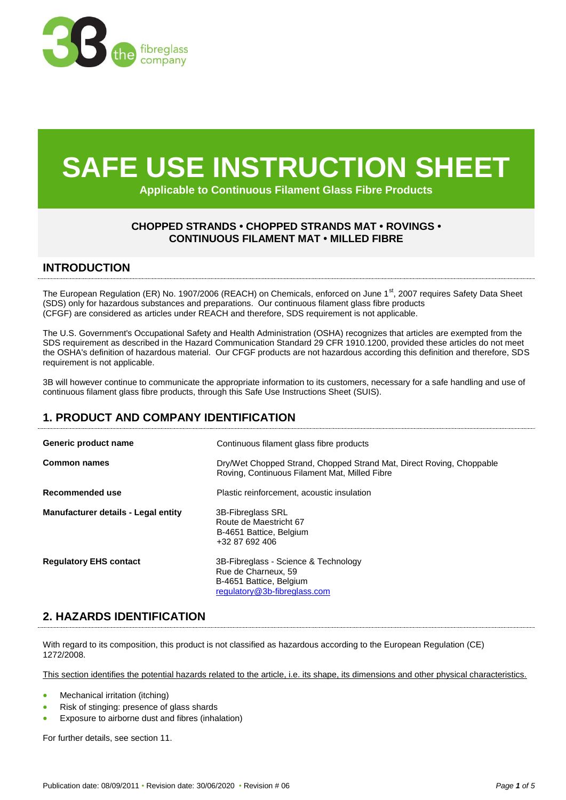

# **SAFE USE INSTRUCTION SHEET**

**Applicable to Continuous Filament Glass Fibre Products**

# **CHOPPED STRANDS • CHOPPED STRANDS MAT • ROVINGS • CONTINUOUS FILAMENT MAT • MILLED FIBRE**

## **INTRODUCTION**

The European Regulation (ER) No. 1907/2006 (REACH) on Chemicals, enforced on June 1<sup>st</sup>, 2007 requires Safety Data Sheet (SDS) only for hazardous substances and preparations. Our continuous filament glass fibre products (CFGF) are considered as articles under REACH and therefore, SDS requirement is not applicable.

The U.S. Government's Occupational Safety and Health Administration (OSHA) recognizes that articles are exempted from the SDS requirement as described in the Hazard Communication Standard 29 CFR 1910.1200, provided these articles do not meet the OSHA's definition of hazardous material. Our CFGF products are not hazardous according this definition and therefore, SDS requirement is not applicable.

3B will however continue to communicate the appropriate information to its customers, necessary for a safe handling and use of continuous filament glass fibre products, through this Safe Use Instructions Sheet (SUIS).

# **1. PRODUCT AND COMPANY IDENTIFICATION**

| Generic product name                | Continuous filament glass fibre products                                                                               |
|-------------------------------------|------------------------------------------------------------------------------------------------------------------------|
| <b>Common names</b>                 | Dry/Wet Chopped Strand, Chopped Strand Mat, Direct Roving, Choppable<br>Roving, Continuous Filament Mat, Milled Fibre  |
| Recommended use                     | Plastic reinforcement, acoustic insulation                                                                             |
| Manufacturer details - Legal entity | <b>3B-Fibreglass SRL</b><br>Route de Maestricht 67<br>B-4651 Battice, Belgium<br>+32 87 692 406                        |
| <b>Regulatory EHS contact</b>       | 3B-Fibreglass - Science & Technology<br>Rue de Charneux, 59<br>B-4651 Battice, Belgium<br>regulatory@3b-fibreglass.com |

# **2. HAZARDS IDENTIFICATION**

With regard to its composition, this product is not classified as hazardous according to the European Regulation (CE)  $1272/2008$ 

This section identifies the potential hazards related to the article, i.e. its shape, its dimensions and other physical characteristics.

- Mechanical irritation (itching)
- Risk of stinging: presence of glass shards
- Exposure to airborne dust and fibres (inhalation)

For further details, see section 11.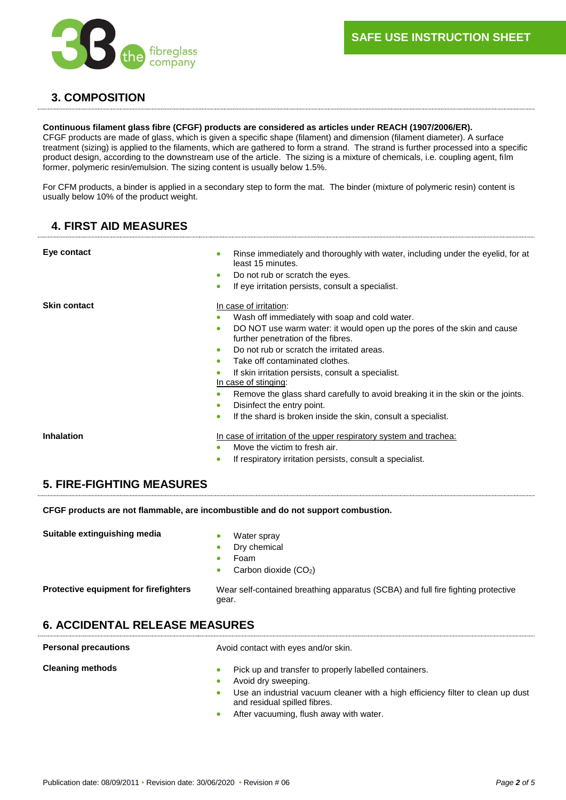

# **3. COMPOSITION**

#### **Continuous filament glass fibre (CFGF) products are considered as articles under REACH (1907/2006/ER).**

CFGF products are made of glass, which is given a specific shape (filament) and dimension (filament diameter). A surface treatment (sizing) is applied to the filaments, which are gathered to form a strand. The strand is further processed into a specific product design, according to the downstream use of the article. The sizing is a mixture of chemicals, i.e. coupling agent, film former, polymeric resin/emulsion. The sizing content is usually below 1.5%.

For CFM products, a binder is applied in a secondary step to form the mat. The binder (mixture of polymeric resin) content is usually below 10% of the product weight.

# **4. FIRST AID MEASURES**

| Eye contact                      | Rinse immediately and thoroughly with water, including under the eyelid, for at<br>least 15 minutes.<br>Do not rub or scratch the eyes.<br>$\bullet$<br>If eye irritation persists, consult a specialist.<br>۰                                                                                                                                                                                                                                                                                                                                               |
|----------------------------------|--------------------------------------------------------------------------------------------------------------------------------------------------------------------------------------------------------------------------------------------------------------------------------------------------------------------------------------------------------------------------------------------------------------------------------------------------------------------------------------------------------------------------------------------------------------|
| <b>Skin contact</b>              | In case of irritation:<br>Wash off immediately with soap and cold water.<br>DO NOT use warm water: it would open up the pores of the skin and cause<br>further penetration of the fibres.<br>Do not rub or scratch the irritated areas.<br>$\bullet$<br>Take off contaminated clothes.<br>If skin irritation persists, consult a specialist.<br>In case of stinging:<br>Remove the glass shard carefully to avoid breaking it in the skin or the joints.<br>Disinfect the entry point.<br>If the shard is broken inside the skin, consult a specialist.<br>٠ |
| <b>Inhalation</b>                | In case of irritation of the upper respiratory system and trachea:<br>Move the victim to fresh air.<br>If respiratory irritation persists, consult a specialist.                                                                                                                                                                                                                                                                                                                                                                                             |
| <b>5. FIRE-FIGHTING MEASURES</b> |                                                                                                                                                                                                                                                                                                                                                                                                                                                                                                                                                              |

**CFGF products are not flammable, are incombustible and do not support combustion.**

**Suitable extinguishing media and Suitable extinguishing media a with a** Water spray

- 
- Dry chemical
- Foam
- Carbon dioxide (CO<sub>2</sub>)

**Protective equipment for firefighters** Wear self-contained breathing apparatus (SCBA) and full fire fighting protective gear.

# **6. ACCIDENTAL RELEASE MEASURES**

**Personal precautions Avoid contact with eyes and/or skin. Cleaning methods Cleaning methods Pick up and transfer to properly labelled containers.**  Avoid dry sweeping. Use an industrial vacuum cleaner with a high efficiency filter to clean up dust and residual spilled fibres. After vacuuming, flush away with water.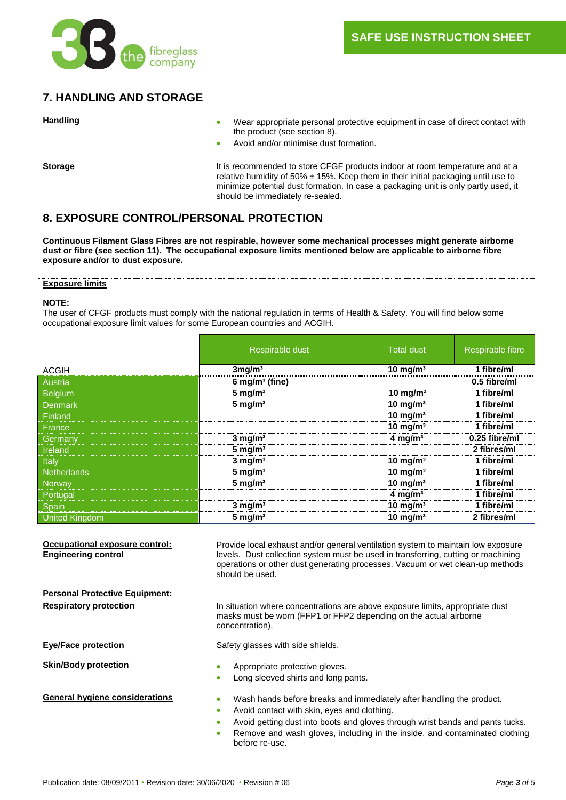

# **7. HANDLING AND STORAGE**

| <b>Handling</b> | Wear appropriate personal protective equipment in case of direct contact with<br>۰<br>the product (see section 8).<br>Avoid and/or minimise dust formation.                                                                                                                                      |
|-----------------|--------------------------------------------------------------------------------------------------------------------------------------------------------------------------------------------------------------------------------------------------------------------------------------------------|
| <b>Storage</b>  | It is recommended to store CFGF products indoor at room temperature and at a<br>relative humidity of 50% $\pm$ 15%. Keep them in their initial packaging until use to<br>minimize potential dust formation. In case a packaging unit is only partly used, it<br>should be immediately re-sealed. |

# **8. EXPOSURE CONTROL/PERSONAL PROTECTION**

**Continuous Filament Glass Fibres are not respirable, however some mechanical processes might generate airborne dust or fibre (see section 11). The occupational exposure limits mentioned below are applicable to airborne fibre exposure and/or to dust exposure.**

## **Exposure limits**

## **NOTE:**

The user of CFGF products must comply with the national regulation in terms of Health & Safety. You will find below some occupational exposure limit values for some European countries and ACGIH.

|                                       | Respirable dust                                                                                                                                                                                                                                                                                                                     | <b>Total dust</b>               | Respirable fibre |
|---------------------------------------|-------------------------------------------------------------------------------------------------------------------------------------------------------------------------------------------------------------------------------------------------------------------------------------------------------------------------------------|---------------------------------|------------------|
| <b>ACGIH</b>                          | 3mg/m <sup>3</sup>                                                                                                                                                                                                                                                                                                                  | $10 \overline{\mathrm{mg/m^3}}$ | 1 fibre/ml       |
| Austria                               | $6$ mg/m <sup>3</sup> (fine)                                                                                                                                                                                                                                                                                                        |                                 | 0.5 fibre/ml     |
| <b>Belgium</b>                        | $5$ mg/m <sup>3</sup>                                                                                                                                                                                                                                                                                                               | $10$ mg/m <sup>3</sup>          | 1 fibre/ml       |
| <b>Denmark</b>                        | $5$ mg/m <sup>3</sup>                                                                                                                                                                                                                                                                                                               | 10 mg/m $3$                     | 1 fibre/ml       |
| Finland                               |                                                                                                                                                                                                                                                                                                                                     | $10$ mg/m <sup>3</sup>          | 1 fibre/ml       |
| France                                |                                                                                                                                                                                                                                                                                                                                     | $10$ mg/m <sup>3</sup>          | 1 fibre/ml       |
| Germany                               | $3$ mg/m <sup>3</sup>                                                                                                                                                                                                                                                                                                               | $4$ mg/m <sup>3</sup>           | 0.25 fibre/ml    |
| Ireland                               | $5$ mg/m <sup>3</sup>                                                                                                                                                                                                                                                                                                               |                                 | 2 fibres/ml      |
| Italy                                 | $3$ mg/m $3$                                                                                                                                                                                                                                                                                                                        | 10 mg/m $3$                     | 1 fibre/ml       |
| <b>Netherlands</b>                    | $5$ mg/m <sup>3</sup>                                                                                                                                                                                                                                                                                                               | 10 mg/m $3$                     | 1 fibre/ml       |
| Norway                                | $5$ mg/m <sup>3</sup>                                                                                                                                                                                                                                                                                                               | 10 mg/m $3$                     | 1 fibre/ml       |
| Portugal                              |                                                                                                                                                                                                                                                                                                                                     | 4 mg/m $3$                      | 1 fibre/ml       |
| Spain                                 | $3$ mg/m <sup>3</sup>                                                                                                                                                                                                                                                                                                               | 10 mg/m $3$                     | 1 fibre/ml       |
| <b>United Kingdom</b>                 | $5 \text{ mg/m}^3$                                                                                                                                                                                                                                                                                                                  | 10 mg/m $3$                     | 2 fibres/ml      |
| <b>Personal Protective Equipment:</b> | operations or other dust generating processes. Vacuum or wet clean-up methods<br>should be used.                                                                                                                                                                                                                                    |                                 |                  |
| <b>Respiratory protection</b>         | In situation where concentrations are above exposure limits, appropriate dust<br>masks must be worn (FFP1 or FFP2 depending on the actual airborne<br>concentration).                                                                                                                                                               |                                 |                  |
| <b>Eye/Face protection</b>            | Safety glasses with side shields.                                                                                                                                                                                                                                                                                                   |                                 |                  |
| <b>Skin/Body protection</b>           | Appropriate protective gloves.<br>Long sleeved shirts and long pants.<br>$\bullet$                                                                                                                                                                                                                                                  |                                 |                  |
| <b>General hygiene considerations</b> | Wash hands before breaks and immediately after handling the product.<br>$\bullet$<br>Avoid contact with skin, eyes and clothing.<br>$\bullet$<br>Avoid getting dust into boots and gloves through wrist bands and pants tucks.<br>۰<br>Remove and wash gloves, including in the inside, and contaminated clothing<br>before re-use. |                                 |                  |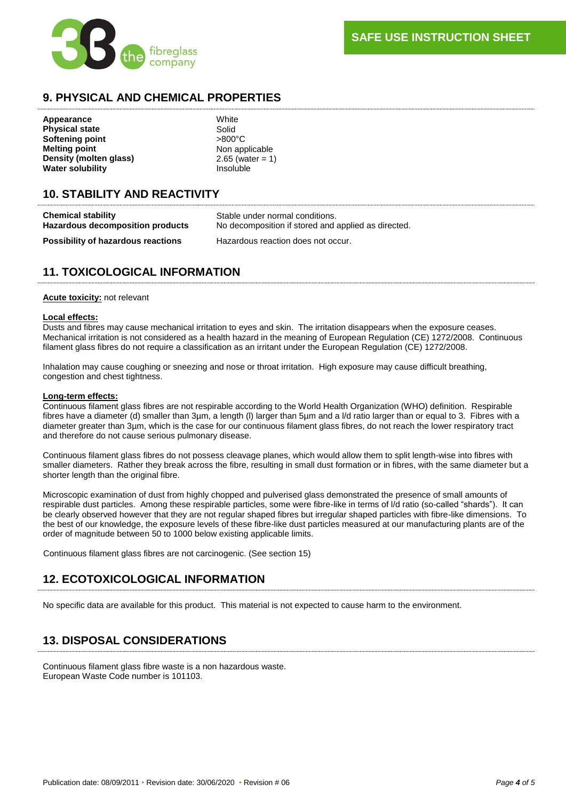**SAFE USE INSTRUCTION SHEET** 



# **9. PHYSICAL AND CHEMICAL PROPERTIES**

**Appearance** White **Physical state** Solid<br> **Softening point** Softening point **Softening point Melting point**<br> **Density (molten glass)** 2.65 (water = 1) **Density (molten glass) Water solubility** Insoluble

# **10. STABILITY AND REACTIVITY**

| <b>Chemical stability</b>                 | Stable under normal conditions.                     |
|-------------------------------------------|-----------------------------------------------------|
| <b>Hazardous decomposition products</b>   | No decomposition if stored and applied as directed. |
| <b>Possibility of hazardous reactions</b> | Hazardous reaction does not occur.                  |

# **11. TOXICOLOGICAL INFORMATION**

## **Acute toxicity:** not relevant

## **Local effects:**

Dusts and fibres may cause mechanical irritation to eyes and skin. The irritation disappears when the exposure ceases. Mechanical irritation is not considered as a health hazard in the meaning of European Regulation (CE) 1272/2008. Continuous filament glass fibres do not require a classification as an irritant under the European Regulation (CE) 1272/2008.

Inhalation may cause coughing or sneezing and nose or throat irritation. High exposure may cause difficult breathing, congestion and chest tightness.

## **Long-term effects:**

Continuous filament glass fibres are not respirable according to the World Health Organization (WHO) definition. Respirable fibres have a diameter (d) smaller than 3µm, a length (I) larger than 5µm and a I/d ratio larger than or equal to 3. Fibres with a diameter greater than 3µm, which is the case for our continuous filament glass fibres, do not reach the lower respiratory tract and therefore do not cause serious pulmonary disease.

Continuous filament glass fibres do not possess cleavage planes, which would allow them to split length-wise into fibres with smaller diameters. Rather they break across the fibre, resulting in small dust formation or in fibres, with the same diameter but a shorter length than the original fibre.

Microscopic examination of dust from highly chopped and pulverised glass demonstrated the presence of small amounts of respirable dust particles. Among these respirable particles, some were fibre-like in terms of l/d ratio (so-called "shards"). It can be clearly observed however that they are not regular shaped fibres but irregular shaped particles with fibre-like dimensions. To the best of our knowledge, the exposure levels of these fibre-like dust particles measured at our manufacturing plants are of the order of magnitude between 50 to 1000 below existing applicable limits.

Continuous filament glass fibres are not carcinogenic. (See section 15)

# **12. ECOTOXICOLOGICAL INFORMATION**

No specific data are available for this product. This material is not expected to cause harm to the environment.

# **13. DISPOSAL CONSIDERATIONS**

Continuous filament glass fibre waste is a non hazardous waste. European Waste Code number is 101103.